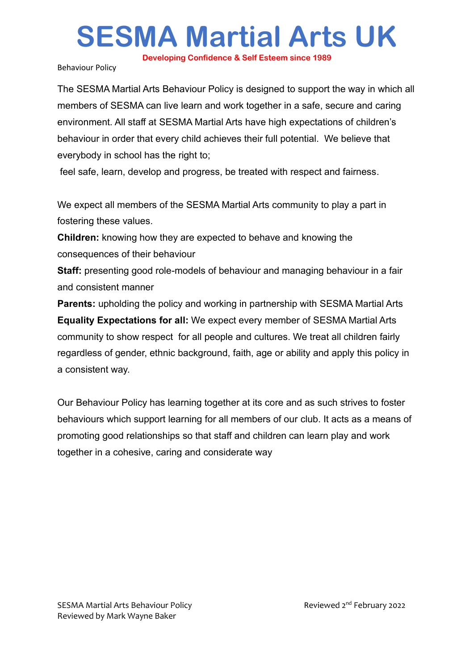**Developing Confidence & Self Esteem since 1989**

Behaviour Policy

The SESMA Martial Arts Behaviour Policy is designed to support the way in which all members of SESMA can live learn and work together in a safe, secure and caring environment. All staff at SESMA Martial Arts have high expectations of children's behaviour in order that every child achieves their full potential. We believe that everybody in school has the right to;

feel safe, learn, develop and progress, be treated with respect and fairness.

We expect all members of the SESMA Martial Arts community to play a part in fostering these values.

**Children:** knowing how they are expected to behave and knowing the consequences of their behaviour

**Staff:** presenting good role-models of behaviour and managing behaviour in a fair and consistent manner

**Parents:** upholding the policy and working in partnership with SESMA Martial Arts **Equality Expectations for all:** We expect every member of SESMA Martial Arts community to show respect for all people and cultures. We treat all children fairly regardless of gender, ethnic background, faith, age or ability and apply this policy in a consistent way.

Our Behaviour Policy has learning together at its core and as such strives to foster behaviours which support learning for all members of our club. It acts as a means of promoting good relationships so that staff and children can learn play and work together in a cohesive, caring and considerate way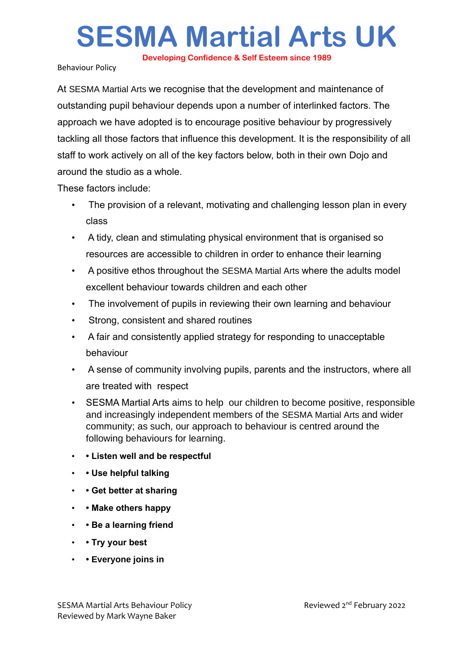**Developing Confidence & Self Esteem since 1989**

Behaviour Policy

At SESMA Martial Arts we recognise that the development and maintenance of outstanding pupil behaviour depends upon a number of interlinked factors. The approach we have adopted is to encourage positive behaviour by progressively tackling all those factors that influence this development. It is the responsibility of all staff to work actively on all of the key factors below, both in their own Dojo and around the studio as a whole.

These factors include:

- The provision of a relevant, motivating and challenging lesson plan in every class
- A tidy, clean and stimulating physical environment that is organised so resources are accessible to children in order to enhance their learning
- A positive ethos throughout the SESMA Martial Arts where the adults model excellent behaviour towards children and each other
- The involvement of pupils in reviewing their own learning and behaviour
- Strong, consistent and shared routines
- A fair and consistently applied strategy for responding to unacceptable behaviour
- A sense of community involving pupils, parents and the instructors, where all are treated with respect
- SESMA Martial Arts aims to help our children to become positive, responsible and increasingly independent members of the SESMA Martial Arts and wider community; as such, our approach to behaviour is centred around the following behaviours for learning.
- **Listen well and be respectful**
- **Use helpful talking**
- **Get better at sharing**
- **Make others happy**
- **Be a learning friend**
- **Try your best**
- **Everyone joins in**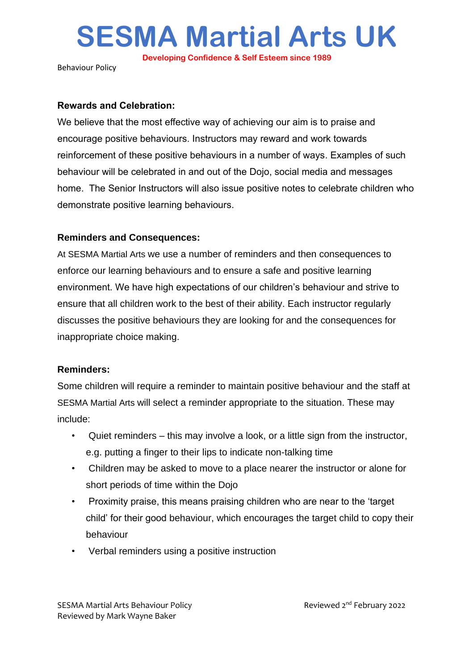**Developing Confidence & Self Esteem since 1989**

Behaviour Policy

#### **Rewards and Celebration:**

We believe that the most effective way of achieving our aim is to praise and encourage positive behaviours. Instructors may reward and work towards reinforcement of these positive behaviours in a number of ways. Examples of such behaviour will be celebrated in and out of the Dojo, social media and messages home. The Senior Instructors will also issue positive notes to celebrate children who demonstrate positive learning behaviours.

### **Reminders and Consequences:**

At SESMA Martial Arts we use a number of reminders and then consequences to enforce our learning behaviours and to ensure a safe and positive learning environment. We have high expectations of our children's behaviour and strive to ensure that all children work to the best of their ability. Each instructor regularly discusses the positive behaviours they are looking for and the consequences for inappropriate choice making.

## **Reminders:**

Some children will require a reminder to maintain positive behaviour and the staff at SESMA Martial Arts will select a reminder appropriate to the situation. These may include:

- Quiet reminders this may involve a look, or a little sign from the instructor, e.g. putting a finger to their lips to indicate non-talking time
- Children may be asked to move to a place nearer the instructor or alone for short periods of time within the Dojo
- Proximity praise, this means praising children who are near to the 'target child' for their good behaviour, which encourages the target child to copy their behaviour
- Verbal reminders using a positive instruction